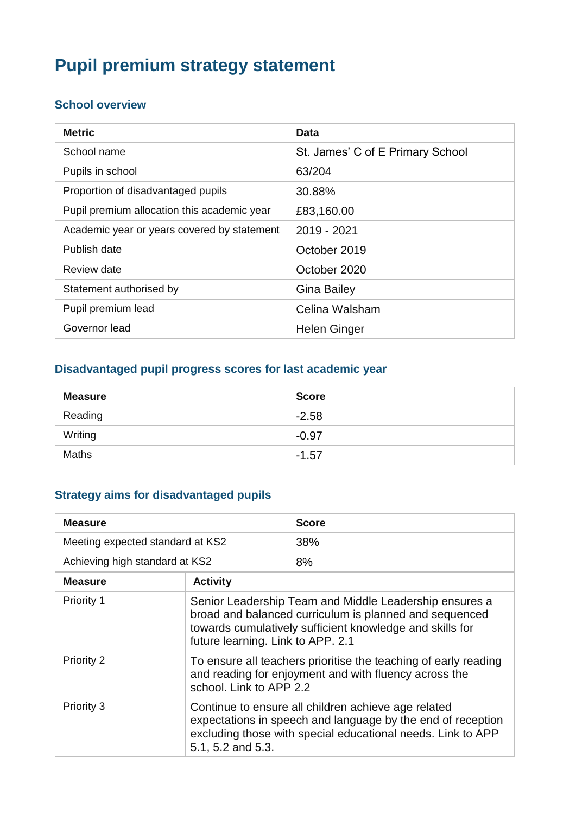# **Pupil premium strategy statement**

### **School overview**

| <b>Metric</b>                               | Data                             |
|---------------------------------------------|----------------------------------|
| School name                                 | St. James' C of E Primary School |
| Pupils in school                            | 63/204                           |
| Proportion of disadvantaged pupils          | 30.88%                           |
| Pupil premium allocation this academic year | £83,160.00                       |
| Academic year or years covered by statement | 2019 - 2021                      |
| Publish date                                | October 2019                     |
| Review date                                 | October 2020                     |
| Statement authorised by                     | <b>Gina Bailey</b>               |
| Pupil premium lead                          | Celina Walsham                   |
| Governor lead                               | Helen Ginger                     |

### **Disadvantaged pupil progress scores for last academic year**

| <b>Measure</b> | <b>Score</b> |
|----------------|--------------|
| Reading        | $-2.58$      |
| Writing        | $-0.97$      |
| <b>Maths</b>   | $-1.57$      |

## **Strategy aims for disadvantaged pupils**

| <b>Measure</b>                   |                                                                                                                                                                                                                   | <b>Score</b> |
|----------------------------------|-------------------------------------------------------------------------------------------------------------------------------------------------------------------------------------------------------------------|--------------|
| Meeting expected standard at KS2 |                                                                                                                                                                                                                   | 38%          |
| Achieving high standard at KS2   |                                                                                                                                                                                                                   | 8%           |
| <b>Measure</b>                   | <b>Activity</b>                                                                                                                                                                                                   |              |
| Priority 1                       | Senior Leadership Team and Middle Leadership ensures a<br>broad and balanced curriculum is planned and sequenced<br>towards cumulatively sufficient knowledge and skills for<br>future learning. Link to APP. 2.1 |              |
| Priority 2                       | To ensure all teachers prioritise the teaching of early reading<br>and reading for enjoyment and with fluency across the<br>school. Link to APP 2.2                                                               |              |
| Priority 3                       | Continue to ensure all children achieve age related<br>expectations in speech and language by the end of reception<br>excluding those with special educational needs. Link to APP<br>5.1, 5.2 and 5.3.            |              |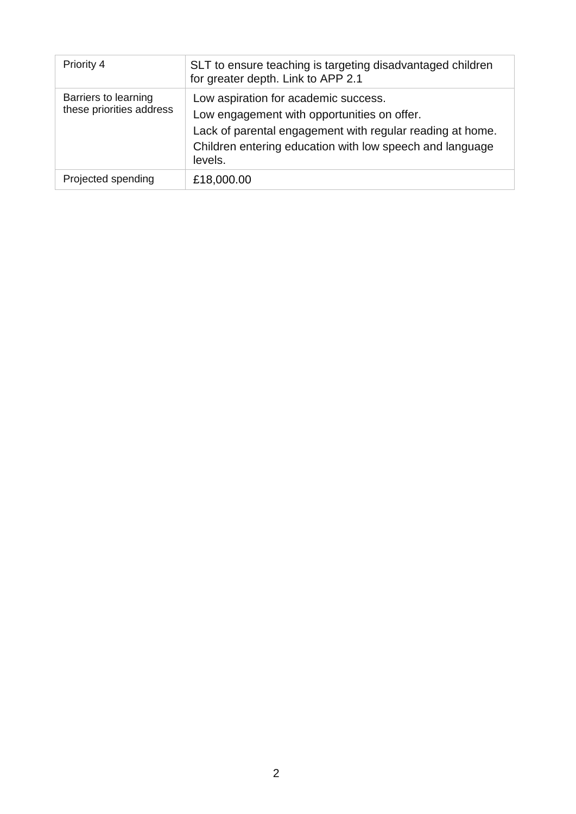| Priority 4                                       | SLT to ensure teaching is targeting disadvantaged children<br>for greater depth. Link to APP 2.1                                                                                                                        |
|--------------------------------------------------|-------------------------------------------------------------------------------------------------------------------------------------------------------------------------------------------------------------------------|
| Barriers to learning<br>these priorities address | Low aspiration for academic success.<br>Low engagement with opportunities on offer.<br>Lack of parental engagement with regular reading at home.<br>Children entering education with low speech and language<br>levels. |
| Projected spending                               | £18,000.00                                                                                                                                                                                                              |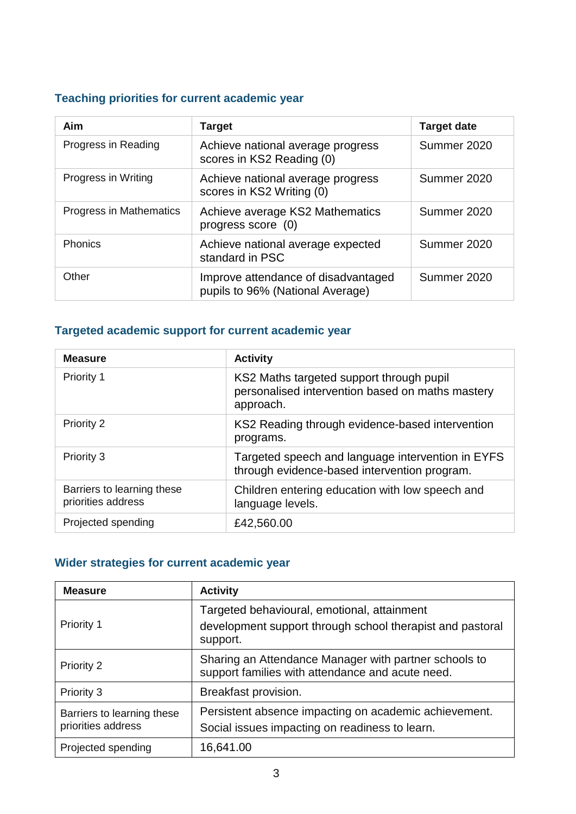## **Teaching priorities for current academic year**

| Aim                     | <b>Target</b>                                                           | <b>Target date</b> |
|-------------------------|-------------------------------------------------------------------------|--------------------|
| Progress in Reading     | Achieve national average progress<br>scores in KS2 Reading (0)          | Summer 2020        |
| Progress in Writing     | Achieve national average progress<br>scores in KS2 Writing (0)          | Summer 2020        |
| Progress in Mathematics | Achieve average KS2 Mathematics<br>progress score (0)                   | Summer 2020        |
| <b>Phonics</b>          | Achieve national average expected<br>standard in PSC                    | Summer 2020        |
| Other                   | Improve attendance of disadvantaged<br>pupils to 96% (National Average) | Summer 2020        |

#### **Targeted academic support for current academic year**

| <b>Measure</b>                                   | <b>Activity</b>                                                                                           |
|--------------------------------------------------|-----------------------------------------------------------------------------------------------------------|
| Priority 1                                       | KS2 Maths targeted support through pupil<br>personalised intervention based on maths mastery<br>approach. |
| <b>Priority 2</b>                                | KS2 Reading through evidence-based intervention<br>programs.                                              |
| Priority 3                                       | Targeted speech and language intervention in EYFS<br>through evidence-based intervention program.         |
| Barriers to learning these<br>priorities address | Children entering education with low speech and<br>language levels.                                       |
| Projected spending                               | £42,560.00                                                                                                |

## **Wider strategies for current academic year**

| <b>Measure</b>                                   | <b>Activity</b>                                                                                                      |
|--------------------------------------------------|----------------------------------------------------------------------------------------------------------------------|
| Priority 1                                       | Targeted behavioural, emotional, attainment<br>development support through school therapist and pastoral<br>support. |
| Priority 2                                       | Sharing an Attendance Manager with partner schools to<br>support families with attendance and acute need.            |
| Priority 3                                       | Breakfast provision.                                                                                                 |
| Barriers to learning these<br>priorities address | Persistent absence impacting on academic achievement.<br>Social issues impacting on readiness to learn.              |
| Projected spending                               | 16,641.00                                                                                                            |